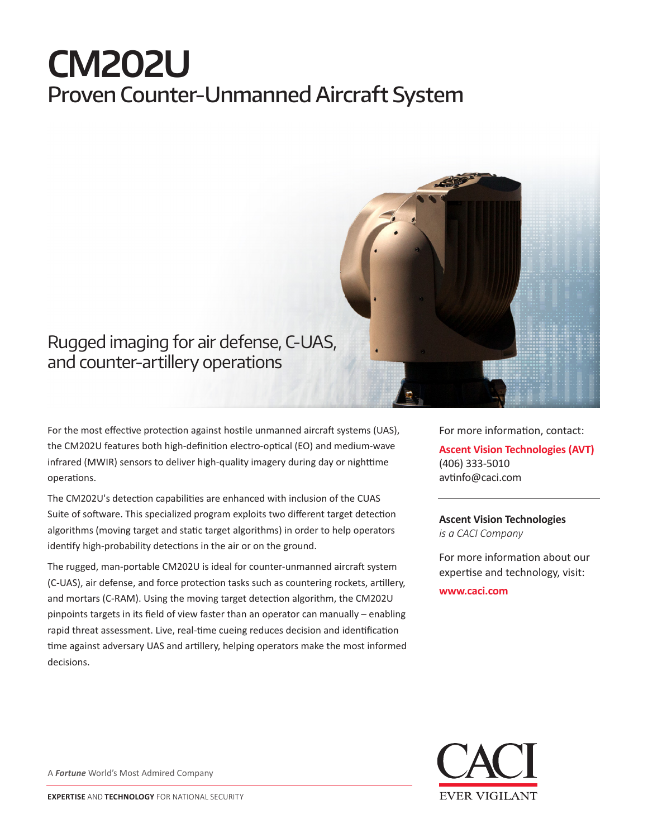# **CM202U** Proven Counter-Unmanned Aircraft System



## Rugged imaging for air defense, C-UAS, and counter-artillery operations

For the most effective protection against hostile unmanned aircraft systems (UAS), the CM202U features both high-definition electro-optical (EO) and medium-wave infrared (MWIR) sensors to deliver high-quality imagery during day or nighttime operations.

The CM202U's detection capabilities are enhanced with inclusion of the CUAS Suite of software. This specialized program exploits two different target detection algorithms (moving target and static target algorithms) in order to help operators identify high-probability detections in the air or on the ground.

The rugged, man-portable CM202U is ideal for counter-unmanned aircraft system (C-UAS), air defense, and force protection tasks such as countering rockets, artillery, and mortars (C-RAM). Using the moving target detection algorithm, the CM202U pinpoints targets in its field of view faster than an operator can manually – enabling rapid threat assessment. Live, real-time cueing reduces decision and identification time against adversary UAS and artillery, helping operators make the most informed decisions.

For more information, contact: **Ascent Vision Technologies (AVT)** (406) 333-5010 avtinfo@caci.com

**Ascent Vision Technologies** *is a CACI Company* 

For more information about our expertise and technology, visit:

**www.caci.com**



A *Fortune* World's Most Admired Company